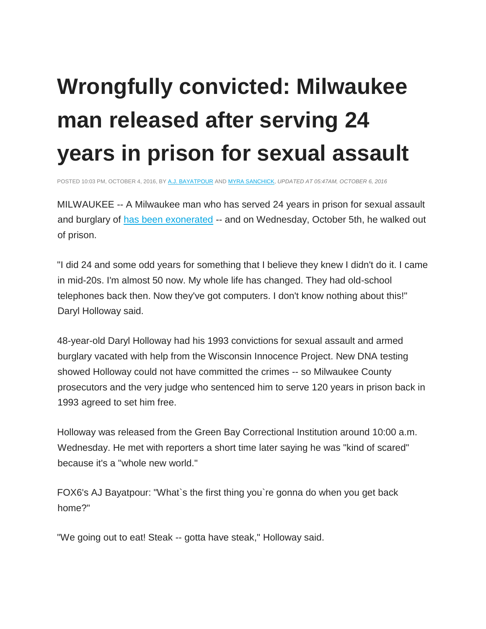## **Wrongfully convicted: Milwaukee man released after serving 24 years in prison for sexual assault**

POSTED 10:03 PM, OCTOBER 4, 2016, BY [A.J. BAYATPOUR](http://fox6now.com/author/ajbayatpour/) AND [MYRA SANCHICK,](http://fox6now.com/author/myrasanchick/) *UPDATED AT 05:47AM, OCTOBER 6, 2016*

MILWAUKEE -- A Milwaukee man who has served 24 years in prison for sexual assault and burglary o[f](http://www.nbc15.com/content/news/Milwaukee-Man-exonerated-after-24-years-in-prison-395918971.html) [has been exonerated](http://www.nbc15.com/content/news/Milwaukee-Man-exonerated-after-24-years-in-prison-395918971.html) -- and on Wednesday, October 5th, he walked out of prison.

"I did 24 and some odd years for something that I believe they knew I didn't do it. I came in mid-20s. I'm almost 50 now. My whole life has changed. They had old-school telephones back then. Now they've got computers. I don't know nothing about this!" Daryl Holloway said.

48-year-old Daryl Holloway had his 1993 convictions for sexual assault and armed burglary vacated with help from the Wisconsin Innocence Project. New DNA testing showed Holloway could not have committed the crimes -- so Milwaukee County prosecutors and the very judge who sentenced him to serve 120 years in prison back in 1993 agreed to set him free.

Holloway was released from the Green Bay Correctional Institution around 10:00 a.m. Wednesday. He met with reporters a short time later saying he was "kind of scared" because it's a "whole new world."

FOX6's AJ Bayatpour: "What`s the first thing you`re gonna do when you get back home?"

"We going out to eat! Steak -- gotta have steak," Holloway said.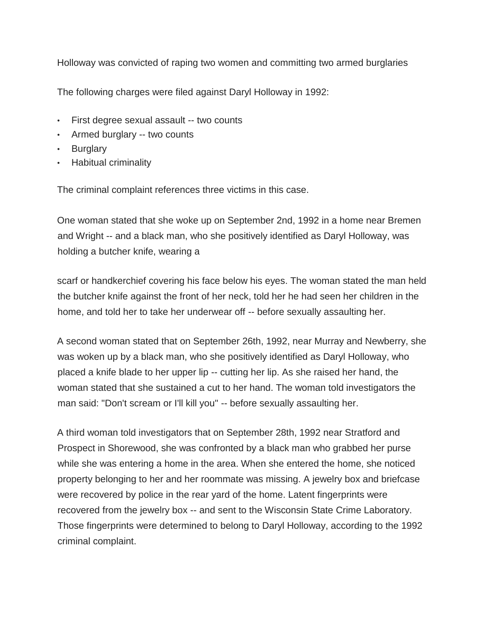Holloway was convicted of raping two women and committing two armed burglaries

The following charges were filed against Daryl Holloway in 1992:

- First degree sexual assault -- two counts
- Armed burglary -- two counts
- Burglary
- Habitual criminality

The criminal complaint references three victims in this case.

One woman stated that she woke up on September 2nd, 1992 in a home near Bremen and Wright -- and a black man, who she positively identified as Daryl Holloway, was holding a butcher knife, wearing a

scarf or handkerchief covering his face below his eyes. The woman stated the man held the butcher knife against the front of her neck, told her he had seen her children in the home, and told her to take her underwear off -- before sexually assaulting her.

A second woman stated that on September 26th, 1992, near Murray and Newberry, she was woken up by a black man, who she positively identified as Daryl Holloway, who placed a knife blade to her upper lip -- cutting her lip. As she raised her hand, the woman stated that she sustained a cut to her hand. The woman told investigators the man said: "Don't scream or I'll kill you" -- before sexually assaulting her.

A third woman told investigators that on September 28th, 1992 near Stratford and Prospect in Shorewood, she was confronted by a black man who grabbed her purse while she was entering a home in the area. When she entered the home, she noticed property belonging to her and her roommate was missing. A jewelry box and briefcase were recovered by police in the rear yard of the home. Latent fingerprints were recovered from the jewelry box -- and sent to the Wisconsin State Crime Laboratory. Those fingerprints were determined to belong to Daryl Holloway, according to the 1992 criminal complaint.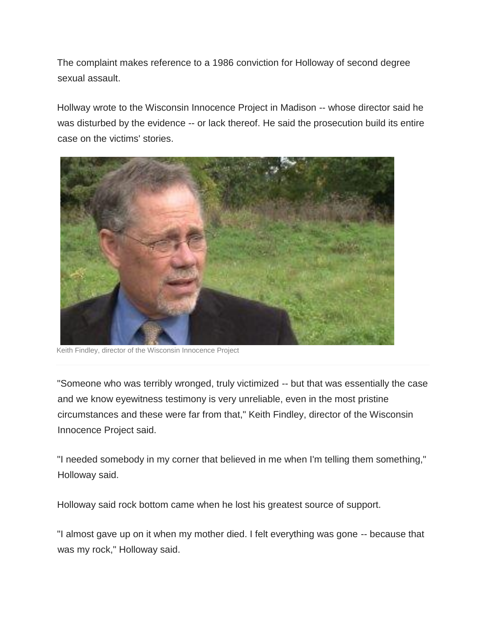The complaint makes reference to a 1986 conviction for Holloway of second degree sexual assault.

Hollway wrote to the Wisconsin Innocence Project in Madison -- whose director said he was disturbed by the evidence -- or lack thereof. He said the prosecution build its entire case on the victims' stories.



Keith Findley, director of the Wisconsin Innocence Project

"Someone who was terribly wronged, truly victimized -- but that was essentially the case and we know eyewitness testimony is very unreliable, even in the most pristine circumstances and these were far from that," Keith Findley, director of the Wisconsin Innocence Project said.

"I needed somebody in my corner that believed in me when I'm telling them something," Holloway said.

Holloway said rock bottom came when he lost his greatest source of support.

"I almost gave up on it when my mother died. I felt everything was gone -- because that was my rock," Holloway said.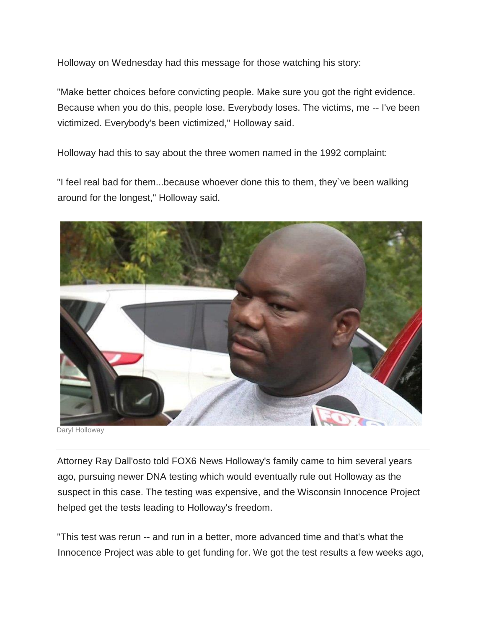Holloway on Wednesday had this message for those watching his story:

"Make better choices before convicting people. Make sure you got the right evidence. Because when you do this, people lose. Everybody loses. The victims, me -- I've been victimized. Everybody's been victimized," Holloway said.

Holloway had this to say about the three women named in the 1992 complaint:

"I feel real bad for them...because whoever done this to them, they`ve been walking around for the longest," Holloway said.



Daryl Holloway

Attorney Ray Dall'osto told FOX6 News Holloway's family came to him several years ago, pursuing newer DNA testing which would eventually rule out Holloway as the suspect in this case. The testing was expensive, and the Wisconsin Innocence Project helped get the tests leading to Holloway's freedom.

"This test was rerun -- and run in a better, more advanced time and that's what the Innocence Project was able to get funding for. We got the test results a few weeks ago,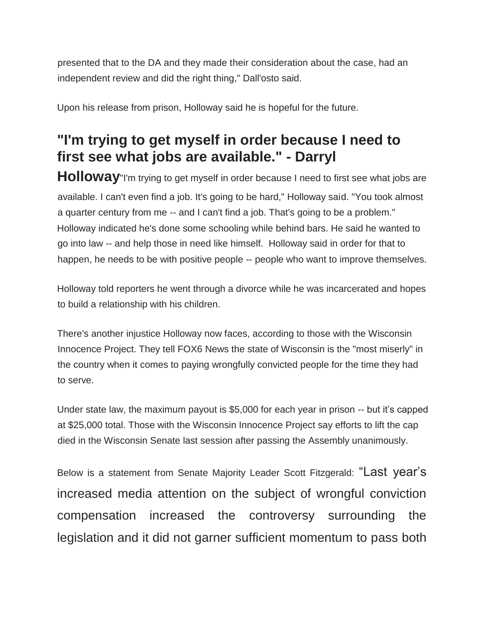presented that to the DA and they made their consideration about the case, had an independent review and did the right thing," Dall'osto said.

Upon his release from prison, Holloway said he is hopeful for the future.

## **"I'm trying to get myself in order because I need to first see what jobs are available." - Darryl**

**Holloway**"I'm trying to get myself in order because I need to first see what jobs are available. I can't even find a job. It's going to be hard," Holloway said. "You took almost a quarter century from me -- and I can't find a job. That's going to be a problem." Holloway indicated he's done some schooling while behind bars. He said he wanted to go into law -- and help those in need like himself. Holloway said in order for that to happen, he needs to be with positive people -- people who want to improve themselves.

Holloway told reporters he went through a divorce while he was incarcerated and hopes to build a relationship with his children.

There's another injustice Holloway now faces, according to those with the Wisconsin Innocence Project. They tell FOX6 News the state of Wisconsin is the "most miserly" in the country when it comes to paying wrongfully convicted people for the time they had to serve.

Under state law, the maximum payout is \$5,000 for each year in prison -- but it's capped at \$25,000 total. Those with the Wisconsin Innocence Project say efforts to lift the cap died in the Wisconsin Senate last session after passing the Assembly unanimously.

Below is a statement from Senate Majority Leader Scott Fitzgerald: "Last year's increased media attention on the subject of wrongful conviction compensation increased the controversy surrounding the legislation and it did not garner sufficient momentum to pass both